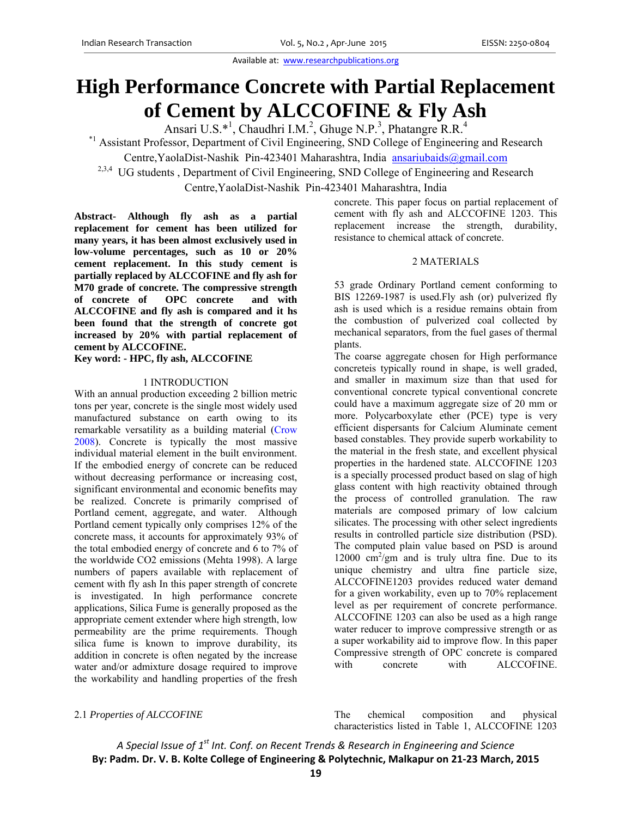Available at: www.researchpublications.org

# **High Performance Concrete with Partial Replacement of Cement by ALCCOFINE & Fly Ash**

Ansari U.S.\*<sup>1</sup>, Chaudhri I.M.<sup>2</sup>, Ghuge N.P.<sup>3</sup>, Phatangre R.R.<sup>4</sup>

\*1 Assistant Professor, Department of Civil Engineering, SND College of Engineering and Research

Centre, YaolaDist-Nashik Pin-423401 Maharashtra, India ansariubaids@gmail.com

<sup>2,3,4</sup> UG students, Department of Civil Engineering, SND College of Engineering and Research Centre,YaolaDist-Nashik Pin-423401 Maharashtra, India

**Abstract- Although fly ash as a partial replacement for cement has been utilized for many years, it has been almost exclusively used in low-volume percentages, such as 10 or 20% cement replacement. In this study cement is partially replaced by ALCCOFINE and fly ash for M70 grade of concrete. The compressive strength of concrete of OPC concrete and with ALCCOFINE and fly ash is compared and it hs been found that the strength of concrete got increased by 20% with partial replacement of cement by ALCCOFINE.** 

**Key word: - HPC, fly ash, ALCCOFINE** 

#### 1 INTRODUCTION

With an annual production exceeding 2 billion metric tons per year, concrete is the single most widely used manufactured substance on earth owing to its remarkable versatility as a building material (Crow 2008). Concrete is typically the most massive individual material element in the built environment. If the embodied energy of concrete can be reduced without decreasing performance or increasing cost, significant environmental and economic benefits may be realized. Concrete is primarily comprised of Portland cement, aggregate, and water. Although Portland cement typically only comprises 12% of the concrete mass, it accounts for approximately 93% of the total embodied energy of concrete and 6 to 7% of the worldwide CO2 emissions (Mehta 1998). A large numbers of papers available with replacement of cement with fly ash In this paper strength of concrete is investigated. In high performance concrete applications, Silica Fume is generally proposed as the appropriate cement extender where high strength, low permeability are the prime requirements. Though silica fume is known to improve durability, its addition in concrete is often negated by the increase water and/or admixture dosage required to improve the workability and handling properties of the fresh

concrete. This paper focus on partial replacement of cement with fly ash and ALCCOFINE 1203. This replacement increase the strength, durability, resistance to chemical attack of concrete.

#### 2 MATERIALS

53 grade Ordinary Portland cement conforming to BIS 12269-1987 is used.Fly ash (or) pulverized fly ash is used which is a residue remains obtain from the combustion of pulverized coal collected by mechanical separators, from the fuel gases of thermal plants.

The coarse aggregate chosen for High performance concreteis typically round in shape, is well graded, and smaller in maximum size than that used for conventional concrete typical conventional concrete could have a maximum aggregate size of 20 mm or more. Polycarboxylate ether (PCE) type is very efficient dispersants for Calcium Aluminate cement based constables. They provide superb workability to the material in the fresh state, and excellent physical properties in the hardened state. ALCCOFINE 1203 is a specially processed product based on slag of high glass content with high reactivity obtained through the process of controlled granulation. The raw materials are composed primary of low calcium silicates. The processing with other select ingredients results in controlled particle size distribution (PSD). The computed plain value based on PSD is around 12000  $\text{cm}^2/\text{gm}$  and is truly ultra fine. Due to its unique chemistry and ultra fine particle size, ALCCOFINE1203 provides reduced water demand for a given workability, even up to 70% replacement level as per requirement of concrete performance. ALCCOFINE 1203 can also be used as a high range water reducer to improve compressive strength or as a super workability aid to improve flow. In this paper Compressive strength of OPC concrete is compared with concrete with ALCCOFINE.

2.1 *Properties of ALCCOFINE* The chemical composition and physical characteristics listed in Table 1, ALCCOFINE 1203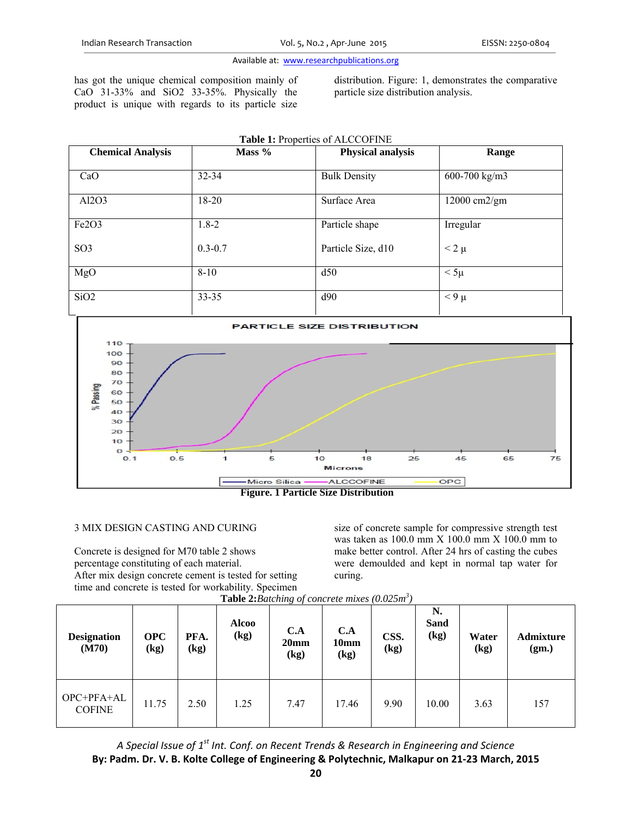#### Available at: www.researchpublications.org

has got the unique chemical composition mainly of CaO 31-33% and SiO2 33-35%. Physically the product is unique with regards to its particle size

distribution. Figure: 1, demonstrates the comparative particle size distribution analysis.

| Table 1: Properties of ALCCOFINE |             |                          |                |  |  |  |  |  |
|----------------------------------|-------------|--------------------------|----------------|--|--|--|--|--|
| <b>Chemical Analysis</b>         | Mass %      | <b>Physical analysis</b> | Range          |  |  |  |  |  |
|                                  |             |                          |                |  |  |  |  |  |
| CaO                              | 32-34       | <b>Bulk Density</b>      | 600-700 kg/m3  |  |  |  |  |  |
| Al2O3                            | 18-20       | Surface Area             | 12000 cm2/gm   |  |  |  |  |  |
| Fe <sub>2</sub> O <sub>3</sub>   | $1.8 - 2$   | Particle shape           | Irregular      |  |  |  |  |  |
|                                  |             |                          |                |  |  |  |  |  |
| SO <sub>3</sub>                  | $0.3 - 0.7$ | Particle Size, d10       | $\leq$ 2 $\mu$ |  |  |  |  |  |
|                                  |             |                          |                |  |  |  |  |  |
| MgO                              | $8 - 10$    | d50                      | $< 5\mu$       |  |  |  |  |  |
| SiO <sub>2</sub>                 | $33 - 35$   | d90                      | $< 9 \mu$      |  |  |  |  |  |
|                                  |             |                          |                |  |  |  |  |  |



 **Figure. 1 Particle Size Distribution** 

# 3 MIX DESIGN CASTING AND CURING

Concrete is designed for M70 table 2 shows percentage constituting of each material. After mix design concrete cement is tested for setting time and concrete is tested for workability. Specimen

size of concrete sample for compressive strength test was taken as 100.0 mm X 100.0 mm X 100.0 mm to make better control. After 24 hrs of casting the cubes were demoulded and kept in normal tap water for curing.

| <b>Designation</b><br>(M70) | <b>OPC</b><br>(kg) | PFA.<br>(kg) | <b>Alcoo</b><br>(kg) | C.A<br>20 <sub>mm</sub><br>(kg) | C.A<br>10 <sub>mm</sub><br>(kg) | CSS.<br>(kg) | N.<br><b>Sand</b><br>(kg) | Water<br>$\left(\text{kg}\right)$ | <b>Admixture</b><br>(gm.) |
|-----------------------------|--------------------|--------------|----------------------|---------------------------------|---------------------------------|--------------|---------------------------|-----------------------------------|---------------------------|
| OPC+PFA+AL<br><b>COFINE</b> | 11.75              | 2.50         | 1.25                 | 7.47                            | 17.46                           | 9.90         | 10.00                     | 3.63                              | 157                       |

**Table 2:***Batching of concrete mixes (0.025m3 )*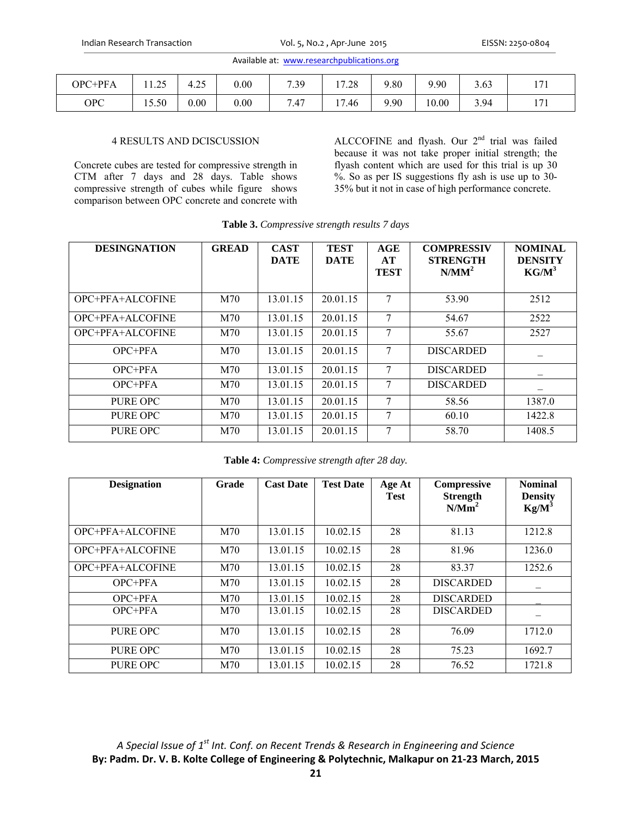|  | Available at: www.researchpublications.org |
|--|--------------------------------------------|
|--|--------------------------------------------|

| HPPFA<br>OPC | $\Delta$<br>. . <u>.</u> | $\sim$ $\sim$ | 0.00 | 7.39     | 17.20<br>ه∠. ا    | 9.80 | $.90^{\circ}$<br> | 3.63 | 171<br>1 / 1 |
|--------------|--------------------------|---------------|------|----------|-------------------|------|-------------------|------|--------------|
| <b>OPC</b>   | 15.50                    | 0.00          | 0.00 | -<br>47. | $\sqrt{ }$<br>.46 | 9.90 | 10.00             | 3.94 | 171<br>1/1   |

### 4 RESULTS AND DCISCUSSION

Concrete cubes are tested for compressive strength in CTM after 7 days and 28 days. Table shows compressive strength of cubes while figure shows comparison between OPC concrete and concrete with

ALCCOFINE and flyash. Our 2<sup>nd</sup> trial was failed because it was not take proper initial strength; the flyash content which are used for this trial is up 30 %. So as per IS suggestions fly ash is use up to 30- 35% but it not in case of high performance concrete.

| <b>DESINGNATION</b> | <b>GREAD</b> | <b>CAST</b><br><b>DATE</b> | <b>TEST</b><br><b>DATE</b> | AGE<br>AT<br><b>TEST</b> | <b>COMPRESSIV</b><br><b>STRENGTH</b><br>N/MM <sup>2</sup> | <b>NOMINAL</b><br><b>DENSITY</b><br>$KG/M^3$ |
|---------------------|--------------|----------------------------|----------------------------|--------------------------|-----------------------------------------------------------|----------------------------------------------|
| OPC+PFA+ALCOFINE    | M70          | 13.01.15                   | 20.01.15                   | 7                        | 53.90                                                     | 2512                                         |
| OPC+PFA+ALCOFINE    | M70          | 13.01.15                   | 20.01.15                   | 7                        | 54.67                                                     | 2522                                         |
| OPC+PFA+ALCOFINE    | M70          | 13.01.15                   | 20.01.15                   | 7                        | 55.67                                                     | 2527                                         |
| $OPC+PFA$           | M70          | 13.01.15                   | 20.01.15                   | 7                        | <b>DISCARDED</b>                                          |                                              |
| $OPC+PFA$           | M70          | 13.01.15                   | 20.01.15                   | 7                        | <b>DISCARDED</b>                                          |                                              |
| $OPC+PFA$           | M70          | 13.01.15                   | 20.01.15                   | 7                        | <b>DISCARDED</b>                                          |                                              |
| PURE OPC            | M70          | 13.01.15                   | 20.01.15                   | 7                        | 58.56                                                     | 1387.0                                       |
| PURE OPC            | M70          | 13.01.15                   | 20.01.15                   | 7                        | 60.10                                                     | 1422.8                                       |
| PURE OPC            | M70          | 13.01.15                   | 20.01.15                   | 7                        | 58.70                                                     | 1408.5                                       |

**Table 3.** *Compressive strength results 7 days* 

**Table 4:** *Compressive strength after 28 day.* 

| <b>Designation</b> | Grade | <b>Cast Date</b> | <b>Test Date</b> | Age At<br><b>Test</b> | <b>Compressive</b><br><b>Strength</b><br>N/Mm <sup>2</sup> | <b>Nominal</b><br><b>Density</b><br>$Kg/M^3$ |
|--------------------|-------|------------------|------------------|-----------------------|------------------------------------------------------------|----------------------------------------------|
| OPC+PFA+ALCOFINE   | M70   | 13.01.15         | 10.02.15         | 28                    | 81.13                                                      | 1212.8                                       |
| OPC+PFA+ALCOFINE   | M70   | 13.01.15         | 10.02.15         | 28                    | 81.96                                                      | 1236.0                                       |
| OPC+PFA+ALCOFINE   | M70   | 13.01.15         | 10.02.15         | 28                    | 83.37                                                      | 1252.6                                       |
| OPC+PFA            | M70   | 13.01.15         | 10.02.15         | 28                    | <b>DISCARDED</b>                                           |                                              |
| $OPC+PFA$          | M70   | 13.01.15         | 10.02.15         | 28                    | <b>DISCARDED</b>                                           |                                              |
| OPC+PFA            | M70   | 13.01.15         | 10.02.15         | 28                    | <b>DISCARDED</b>                                           |                                              |
| PURE OPC           | M70   | 13.01.15         | 10.02.15         | 28                    | 76.09                                                      | 1712.0                                       |
| PURE OPC           | M70   | 13.01.15         | 10.02.15         | 28                    | 75.23                                                      | 1692.7                                       |
| PURE OPC           | M70   | 13.01.15         | 10.02.15         | 28                    | 76.52                                                      | 1721.8                                       |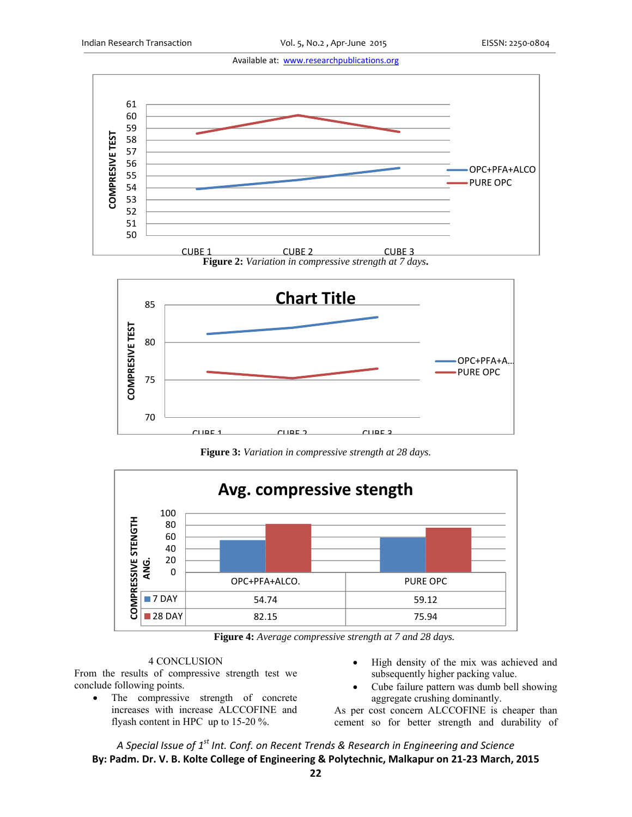Available at: www.researchpublications.org







**Figure 3:** *Variation in compressive strength at 28 days.* 



**Figure 4:** *Average compressive strength at 7 and 28 days.* 

# 4 CONCLUSION

From the results of compressive strength test we conclude following points.

- The compressive strength of concrete increases with increase ALCCOFINE and flyash content in HPC up to 15-20 %.
- High density of the mix was achieved and subsequently higher packing value.
- Cube failure pattern was dumb bell showing aggregate crushing dominantly.

As per cost concern ALCCOFINE is cheaper than cement so for better strength and durability of